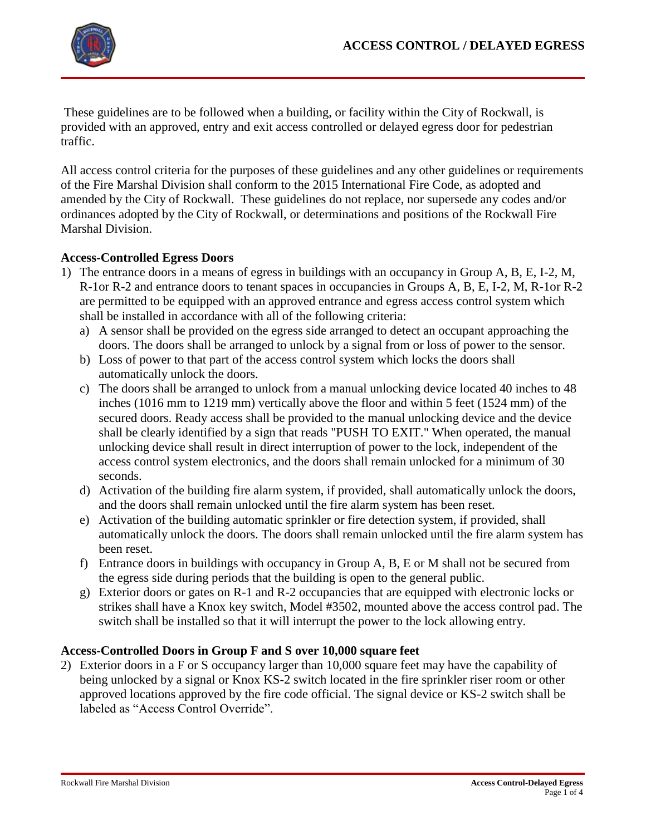These guidelines are to be followed when a building, or facility within the City of Rockwall, is provided with an approved, entry and exit access controlled or delayed egress door for pedestrian traffic.

All access control criteria for the purposes of these guidelines and any other guidelines or requirements of the Fire Marshal Division shall conform to the 2015 International Fire Code, as adopted and amended by the City of Rockwall. These guidelines do not replace, nor supersede any codes and/or ordinances adopted by the City of Rockwall, or determinations and positions of the Rockwall Fire Marshal Division.

# **Access-Controlled Egress Doors**

- 1) The entrance doors in a means of egress in buildings with an occupancy in Group A, B, E, I-2, M, R-1or R-2 and entrance doors to tenant spaces in occupancies in Groups A, B, E, I-2, M, R-1or R-2 are permitted to be equipped with an approved entrance and egress access control system which shall be installed in accordance with all of the following criteria:
	- a) A sensor shall be provided on the egress side arranged to detect an occupant approaching the doors. The doors shall be arranged to unlock by a signal from or loss of power to the sensor.
	- b) Loss of power to that part of the access control system which locks the doors shall automatically unlock the doors.
	- c) The doors shall be arranged to unlock from a manual unlocking device located 40 inches to 48 inches (1016 mm to 1219 mm) vertically above the floor and within 5 feet (1524 mm) of the secured doors. Ready access shall be provided to the manual unlocking device and the device shall be clearly identified by a sign that reads "PUSH TO EXIT." When operated, the manual unlocking device shall result in direct interruption of power to the lock, independent of the access control system electronics, and the doors shall remain unlocked for a minimum of 30 seconds.
	- d) Activation of the building fire alarm system, if provided, shall automatically unlock the doors, and the doors shall remain unlocked until the fire alarm system has been reset.
	- e) Activation of the building automatic sprinkler or fire detection system, if provided, shall automatically unlock the doors. The doors shall remain unlocked until the fire alarm system has been reset.
	- f) Entrance doors in buildings with occupancy in Group A, B, E or M shall not be secured from the egress side during periods that the building is open to the general public.
	- g) Exterior doors or gates on R-1 and R-2 occupancies that are equipped with electronic locks or strikes shall have a Knox key switch, Model #3502, mounted above the access control pad. The switch shall be installed so that it will interrupt the power to the lock allowing entry.

## **Access-Controlled Doors in Group F and S over 10,000 square feet**

2) Exterior doors in a F or S occupancy larger than 10,000 square feet may have the capability of being unlocked by a signal or Knox KS-2 switch located in the fire sprinkler riser room or other approved locations approved by the fire code official. The signal device or KS-2 switch shall be labeled as "Access Control Override".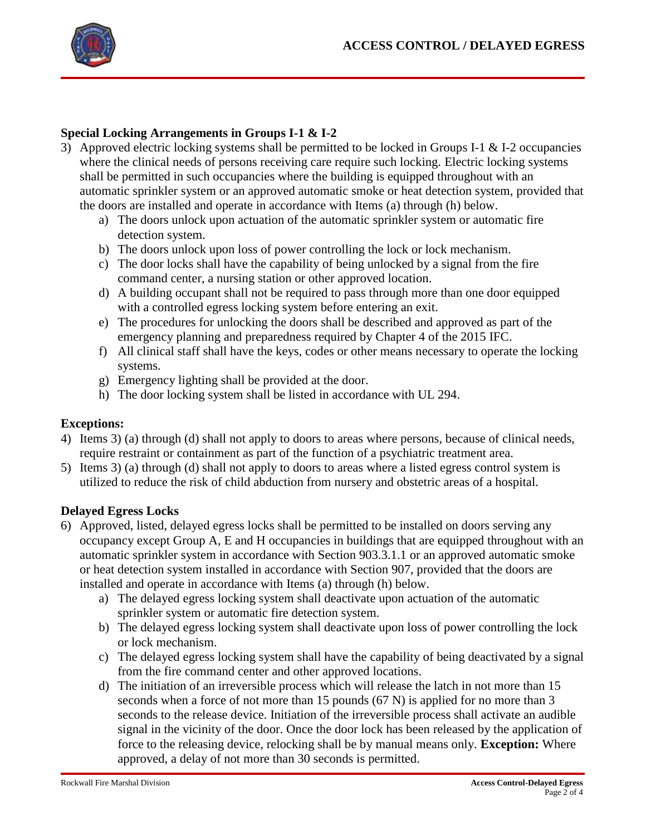

## **Special Locking Arrangements in Groups I-1 & I-2**

- 3) Approved electric locking systems shall be permitted to be locked in Groups I-1 & I-2 occupancies where the clinical needs of persons receiving care require such locking. Electric locking systems shall be permitted in such occupancies where the building is equipped throughout with an automatic sprinkler system or an approved automatic smoke or heat detection system, provided that the doors are installed and operate in accordance with Items (a) through (h) below.
	- a) The doors unlock upon actuation of the automatic sprinkler system or automatic fire detection system.
	- b) The doors unlock upon loss of power controlling the lock or lock mechanism.
	- c) The door locks shall have the capability of being unlocked by a signal from the fire command center, a nursing station or other approved location.
	- d) A building occupant shall not be required to pass through more than one door equipped with a controlled egress locking system before entering an exit.
	- e) The procedures for unlocking the doors shall be described and approved as part of the emergency planning and preparedness required by Chapter 4 of the 2015 IFC.
	- f) All clinical staff shall have the keys, codes or other means necessary to operate the locking systems.
	- g) Emergency lighting shall be provided at the door.
	- h) The door locking system shall be listed in accordance with UL 294.

### **Exceptions:**

- 4) Items 3) (a) through (d) shall not apply to doors to areas where persons, because of clinical needs, require restraint or containment as part of the function of a psychiatric treatment area.
- 5) Items 3) (a) through (d) shall not apply to doors to areas where a listed egress control system is utilized to reduce the risk of child abduction from nursery and obstetric areas of a hospital.

#### **Delayed Egress Locks**

- 6) Approved, listed, delayed egress locks shall be permitted to be installed on doors serving any occupancy except Group A, E and H occupancies in buildings that are equipped throughout with an automatic sprinkler system in accordance with Section 903.3.1.1 or an approved automatic smoke or heat detection system installed in accordance with Section 907, provided that the doors are installed and operate in accordance with Items (a) through (h) below.
	- a) The delayed egress locking system shall deactivate upon actuation of the automatic sprinkler system or automatic fire detection system.
	- b) The delayed egress locking system shall deactivate upon loss of power controlling the lock or lock mechanism.
	- c) The delayed egress locking system shall have the capability of being deactivated by a signal from the fire command center and other approved locations.
	- d) The initiation of an irreversible process which will release the latch in not more than 15 seconds when a force of not more than 15 pounds (67 N) is applied for no more than 3 seconds to the release device. Initiation of the irreversible process shall activate an audible signal in the vicinity of the door. Once the door lock has been released by the application of force to the releasing device, relocking shall be by manual means only. **Exception:** Where approved, a delay of not more than 30 seconds is permitted.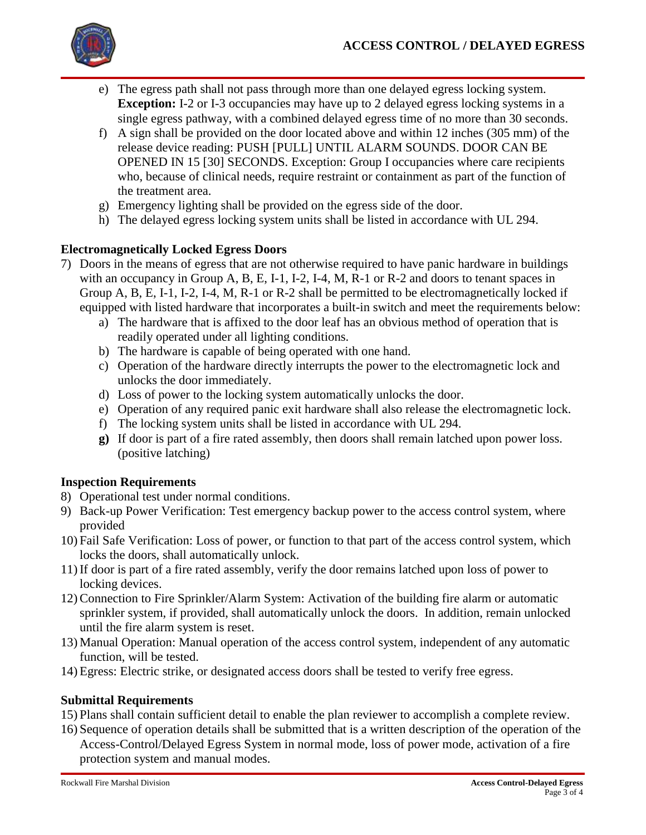

- e) The egress path shall not pass through more than one delayed egress locking system. **Exception:** I-2 or I-3 occupancies may have up to 2 delayed egress locking systems in a single egress pathway, with a combined delayed egress time of no more than 30 seconds.
- f) A sign shall be provided on the door located above and within 12 inches (305 mm) of the release device reading: PUSH [PULL] UNTIL ALARM SOUNDS. DOOR CAN BE OPENED IN 15 [30] SECONDS. Exception: Group I occupancies where care recipients who, because of clinical needs, require restraint or containment as part of the function of the treatment area.
- g) Emergency lighting shall be provided on the egress side of the door.
- h) The delayed egress locking system units shall be listed in accordance with UL 294.

## **Electromagnetically Locked Egress Doors**

- 7) Doors in the means of egress that are not otherwise required to have panic hardware in buildings with an occupancy in Group A, B, E, I-1, I-2, I-4, M, R-1 or R-2 and doors to tenant spaces in Group A, B, E, I-1, I-2, I-4, M, R-1 or R-2 shall be permitted to be electromagnetically locked if equipped with listed hardware that incorporates a built-in switch and meet the requirements below:
	- a) The hardware that is affixed to the door leaf has an obvious method of operation that is readily operated under all lighting conditions.
	- b) The hardware is capable of being operated with one hand.
	- c) Operation of the hardware directly interrupts the power to the electromagnetic lock and unlocks the door immediately.
	- d) Loss of power to the locking system automatically unlocks the door.
	- e) Operation of any required panic exit hardware shall also release the electromagnetic lock.
	- f) The locking system units shall be listed in accordance with UL 294.
	- **g)** If door is part of a fire rated assembly, then doors shall remain latched upon power loss. (positive latching)

#### **Inspection Requirements**

- 8) Operational test under normal conditions.
- 9) Back-up Power Verification: Test emergency backup power to the access control system, where provided
- 10) Fail Safe Verification: Loss of power, or function to that part of the access control system, which locks the doors, shall automatically unlock.
- 11) If door is part of a fire rated assembly, verify the door remains latched upon loss of power to locking devices.
- 12) Connection to Fire Sprinkler/Alarm System: Activation of the building fire alarm or automatic sprinkler system, if provided, shall automatically unlock the doors. In addition, remain unlocked until the fire alarm system is reset.
- 13) Manual Operation: Manual operation of the access control system, independent of any automatic function, will be tested.
- 14) Egress: Electric strike, or designated access doors shall be tested to verify free egress.

#### **Submittal Requirements**

- 15) Plans shall contain sufficient detail to enable the plan reviewer to accomplish a complete review.
- 16) Sequence of operation details shall be submitted that is a written description of the operation of the Access-Control/Delayed Egress System in normal mode, loss of power mode, activation of a fire protection system and manual modes.